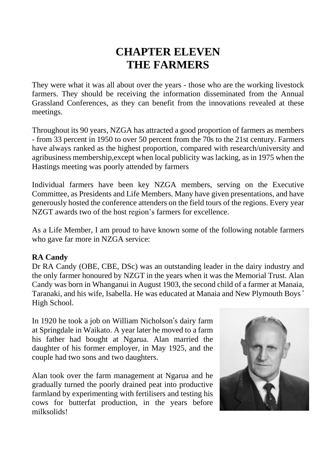# **CHAPTER ELEVEN THE FARMERS**

They were what it was all about over the years - those who are the working livestock farmers. They should be receiving the information disseminated from the Annual Grassland Conferences, as they can benefit from the innovations revealed at these meetings.

Throughout its 90 years, NZGA has attracted a good proportion of farmers as members - from 33 percent in 1950 to over 50 percent from the 70s to the 21st century. Farmers have always ranked as the highest proportion, compared with research/university and agribusiness membership,except when local publicity was lacking, as in 1975 when the Hastings meeting was poorly attended by farmers

Individual farmers have been key NZGA members, serving on the Executive Committee, as Presidents and Life Members. Many have given presentations, and have generously hosted the conference attenders on the field tours of the regions. Every year NZGT awards two of the host region's farmers for excellence.

As a Life Member, I am proud to have known some of the following notable farmers who gave far more in NZGA service:

### **RA Candy**

Dr RA Candy (OBE, CBE, DSc) was an outstanding leader in the dairy industry and the only farmer honoured by NZGT in the years when it was the Memorial Trust. Alan Candy was born in Whanganui in August 1903, the second child of a farmer at Manaia, Taranaki, and his wife, Isabella. He was educated at Manaia and New Plymouth Boys ' High School.

In 1920 he took a job on William Nicholson's dairy farm at Springdale in Waikato. A year later he moved to a farm his father had bought at Ngarua. Alan married the daughter of his former employer, in May 1925, and the couple had two sons and two daughters.

Alan took over the farm management at Ngarua and he gradually turned the poorly drained peat into productive farmland by experimenting with fertilisers and testing his cows for butterfat production, in the years before milksolids!

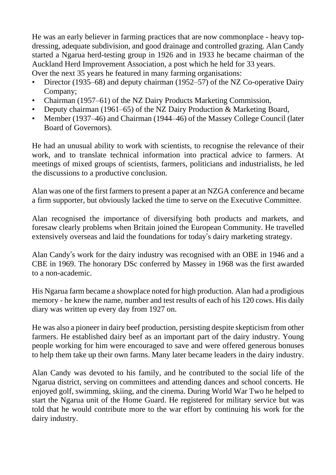He was an early believer in farming practices that are now commonplace - heavy topdressing, adequate subdivision, and good drainage and controlled grazing. Alan Candy started a Ngarua herd-testing group in 1926 and in 1933 he became chairman of the Auckland Herd Improvement Association, a post which he held for 33 years. Over the next 35 years he featured in many farming organisations:

- Director (1935–68) and deputy chairman (1952–57) of the NZ Co-operative Dairy Company;
- Chairman (1957–61) of the NZ Dairy Products Marketing Commission,
- Deputy chairman (1961–65) of the NZ Dairy Production & Marketing Board,
- Member (1937–46) and Chairman (1944–46) of the Massey College Council (later Board of Governors).

He had an unusual ability to work with scientists, to recognise the relevance of their work, and to translate technical information into practical advice to farmers. At meetings of mixed groups of scientists, farmers, politicians and industrialists, he led the discussions to a productive conclusion.

Alan was one of the first farmers to present a paper at an NZGA conference and became a firm supporter, but obviously lacked the time to serve on the Executive Committee.

Alan recognised the importance of diversifying both products and markets, and foresaw clearly problems when Britain joined the European Community. He travelled extensively overseas and laid the foundations for today's dairy marketing strategy.

Alan Candy's work for the dairy industry was recognised with an OBE in 1946 and a CBE in 1969. The honorary DSc conferred by Massey in 1968 was the first awarded to a non-academic.

His Ngarua farm became a showplace noted for high production. Alan had a prodigious memory - he knew the name, number and test results of each of his 120 cows. His daily diary was written up every day from 1927 on.

He was also a pioneer in dairy beef production, persisting despite skepticism from other farmers. He established dairy beef as an important part of the dairy industry. Young people working for him were encouraged to save and were offered generous bonuses to help them take up their own farms. Many later became leaders in the dairy industry.

Alan Candy was devoted to his family, and he contributed to the social life of the Ngarua district, serving on committees and attending dances and school concerts. He enjoyed golf, swimming, skiing, and the cinema. During World War Two he helped to start the Ngarua unit of the Home Guard. He registered for military service but was told that he would contribute more to the war effort by continuing his work for the dairy industry.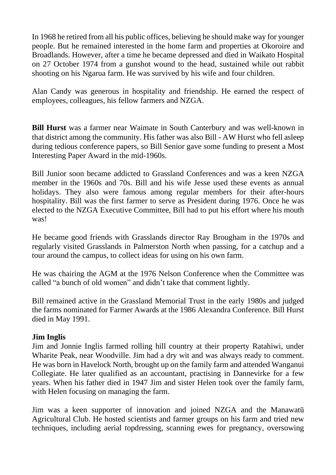In 1968 he retired from all his public offices, believing he should make way for younger people. But he remained interested in the home farm and properties at Okoroire and Broadlands. However, after a time he became depressed and died in Waikato Hospital on 27 October 1974 from a gunshot wound to the head, sustained while out rabbit shooting on his Ngarua farm. He was survived by his wife and four children.

Alan Candy was generous in hospitality and friendship. He earned the respect of employees, colleagues, his fellow farmers and NZGA.

**Bill Hurst** was a farmer near Waimate in South Canterbury and was well-known in that district among the community. His father was also Bill - AW Hurst who fell asleep during tedious conference papers, so Bill Senior gave some funding to present a Most Interesting Paper Award in the mid-1960s.

Bill Junior soon became addicted to Grassland Conferences and was a keen NZGA member in the 1960s and 70s. Bill and his wife Jesse used these events as annual holidays. They also were famous among regular members for their after-hours hospitality. Bill was the first farmer to serve as President during 1976. Once he was elected to the NZGA Executive Committee, Bill had to put his effort where his mouth was!

He became good friends with Grasslands director Ray Brougham in the 1970s and regularly visited Grasslands in Palmerston North when passing, for a catchup and a tour around the campus, to collect ideas for using on his own farm.

He was chairing the AGM at the 1976 Nelson Conference when the Committee was called "a bunch of old women" and didn't take that comment lightly.

Bill remained active in the Grassland Memorial Trust in the early 1980s and judged the farms nominated for Farmer Awards at the 1986 Alexandra Conference. Bill Hurst died in May 1991.

# **Jim Inglis**

Jim and Jonnie Inglis farmed rolling hill country at their property Ratahiwi, under Wharite Peak, near Woodville. Jim had a dry wit and was always ready to comment. He was born in Havelock North, brought up on the family farm and attended Wanganui Collegiate. He later qualified as an accountant, practising in Dannevirke for a few years. When his father died in 1947 Jim and sister Helen took over the family farm, with Helen focusing on managing the farm.

Jim was a keen supporter of innovation and joined NZGA and the Manawatū Agricultural Club. He hosted scientists and farmer groups on his farm and tried new techniques, including aerial topdressing, scanning ewes for pregnancy, oversowing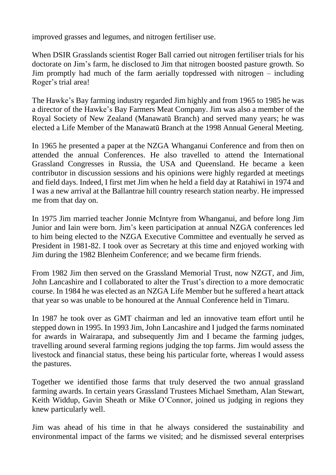improved grasses and legumes, and nitrogen fertiliser use.

When DSIR Grasslands scientist Roger Ball carried out nitrogen fertiliser trials for his doctorate on Jim's farm, he disclosed to Jim that nitrogen boosted pasture growth. So Jim promptly had much of the farm aerially topdressed with nitrogen – including Roger's trial area!

The Hawke's Bay farming industry regarded Jim highly and from 1965 to 1985 he was a director of the Hawke's Bay Farmers Meat Company. Jim was also a member of the Royal Society of New Zealand (Manawatū Branch) and served many years; he was elected a Life Member of the Manawatū Branch at the 1998 Annual General Meeting.

In 1965 he presented a paper at the NZGA Whanganui Conference and from then on attended the annual Conferences. He also travelled to attend the International Grassland Congresses in Russia, the USA and Queensland. He became a keen contributor in discussion sessions and his opinions were highly regarded at meetings and field days. Indeed, I first met Jim when he held a field day at Ratahiwi in 1974 and I was a new arrival at the Ballantrae hill country research station nearby. He impressed me from that day on.

In 1975 Jim married teacher Jonnie McIntyre from Whanganui, and before long Jim Junior and Iain were born. Jim's keen participation at annual NZGA conferences led to him being elected to the NZGA Executive Committee and eventually he served as President in 1981-82. I took over as Secretary at this time and enjoyed working with Jim during the 1982 Blenheim Conference; and we became firm friends.

From 1982 Jim then served on the Grassland Memorial Trust, now NZGT, and Jim, John Lancashire and I collaborated to alter the Trust's direction to a more democratic course. In 1984 he was elected as an NZGA Life Member but he suffered a heart attack that year so was unable to be honoured at the Annual Conference held in Timaru.

In 1987 he took over as GMT chairman and led an innovative team effort until he stepped down in 1995. In 1993 Jim, John Lancashire and I judged the farms nominated for awards in Wairarapa, and subsequently Jim and I became the farming judges, travelling around several farming regions judging the top farms. Jim would assess the livestock and financial status, these being his particular forte, whereas I would assess the pastures.

Together we identified those farms that truly deserved the two annual grassland farming awards. In certain years Grassland Trustees Michael Smetham, Alan Stewart, Keith Widdup, Gavin Sheath or Mike O'Connor, joined us judging in regions they knew particularly well.

Jim was ahead of his time in that he always considered the sustainability and environmental impact of the farms we visited; and he dismissed several enterprises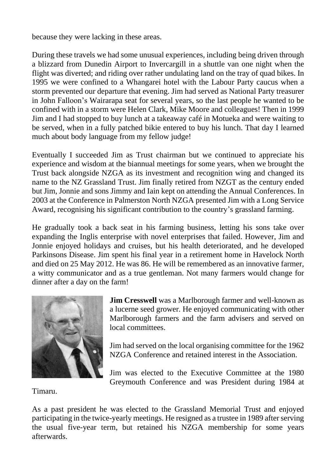because they were lacking in these areas.

During these travels we had some unusual experiences, including being driven through a blizzard from Dunedin Airport to Invercargill in a shuttle van one night when the flight was diverted; and riding over rather undulating land on the tray of quad bikes. In 1995 we were confined to a Whangarei hotel with the Labour Party caucus when a storm prevented our departure that evening. Jim had served as National Party treasurer in John Falloon's Wairarapa seat for several years, so the last people he wanted to be confined with in a storm were Helen Clark, Mike Moore and colleagues! Then in 1999 Jim and I had stopped to buy lunch at a takeaway café in Motueka and were waiting to be served, when in a fully patched bikie entered to buy his lunch. That day I learned much about body language from my fellow judge!

Eventually I succeeded Jim as Trust chairman but we continued to appreciate his experience and wisdom at the biannual meetings for some years, when we brought the Trust back alongside NZGA as its investment and recognition wing and changed its name to the NZ Grassland Trust. Jim finally retired from NZGT as the century ended but Jim, Jonnie and sons Jimmy and Iain kept on attending the Annual Conferences. In 2003 at the Conference in Palmerston North NZGA presented Jim with a Long Service Award, recognising his significant contribution to the country's grassland farming.

He gradually took a back seat in his farming business, letting his sons take over expanding the Inglis enterprise with novel enterprises that failed. However, Jim and Jonnie enjoyed holidays and cruises, but his health deteriorated, and he developed Parkinsons Disease. Jim spent his final year in a retirement home in Havelock North and died on 25 May 2012. He was 86. He will be remembered as an innovative farmer, a witty communicator and as a true gentleman. Not many farmers would change for dinner after a day on the farm!



**Jim Cresswell** was a Marlborough farmer and well-known as a lucerne seed grower. He enjoyed communicating with other Marlborough farmers and the farm advisers and served on local committees.

Jim had served on the local organising committee for the 1962 NZGA Conference and retained interest in the Association.

Jim was elected to the Executive Committee at the 1980 Greymouth Conference and was President during 1984 at

Timaru.

As a past president he was elected to the Grassland Memorial Trust and enjoyed participating in the twice-yearly meetings. He resigned as a trustee in 1989 after serving the usual five-year term, but retained his NZGA membership for some years afterwards.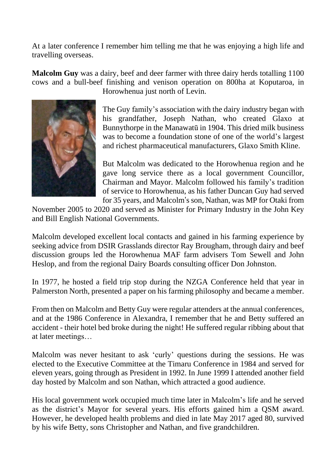At a later conference I remember him telling me that he was enjoying a high life and travelling overseas.

**Malcolm Guy** was a dairy, beef and deer farmer with three dairy herds totalling 1100 cows and a bull-beef finishing and venison operation on 800ha at Koputaroa, in



Horowhenua just north of Levin.

The Guy family's association with the dairy industry began with his grandfather, Joseph Nathan, who created Glaxo at Bunnythorpe in the Manawatū in 1904. This dried milk business was to become a foundation stone of one of the world's largest and richest pharmaceutical manufacturers, Glaxo Smith Kline.

But Malcolm was dedicated to the Horowhenua region and he gave long service there as a local government Councillor, Chairman and Mayor. Malcolm followed his family's tradition of service to Horowhenua, as his father Duncan Guy had served for 35 years, and Malcolm'sson, Nathan, was MP for Otaki from

November 2005 to 2020 and served as Minister for Primary Industry in the John Key and Bill English National Governments.

Malcolm developed excellent local contacts and gained in his farming experience by seeking advice from DSIR Grasslands director Ray Brougham, through dairy and beef discussion groups led the Horowhenua MAF farm advisers Tom Sewell and John Heslop, and from the regional Dairy Boards consulting officer Don Johnston.

In 1977, he hosted a field trip stop during the NZGA Conference held that year in Palmerston North, presented a paper on his farming philosophy and became a member.

From then on Malcolm and Betty Guy were regular attenders at the annual conferences, and at the 1986 Conference in Alexandra, I remember that he and Betty suffered an accident - their hotel bed broke during the night! He suffered regular ribbing about that at later meetings…

Malcolm was never hesitant to ask 'curly' questions during the sessions. He was elected to the Executive Committee at the Timaru Conference in 1984 and served for eleven years, going through as President in 1992. In June 1999 I attended another field day hosted by Malcolm and son Nathan, which attracted a good audience.

His local government work occupied much time later in Malcolm's life and he served as the district's Mayor for several years. His efforts gained him a QSM award. However, he developed health problems and died in late May 2017 aged 80, survived by his wife Betty, sons Christopher and Nathan, and five grandchildren.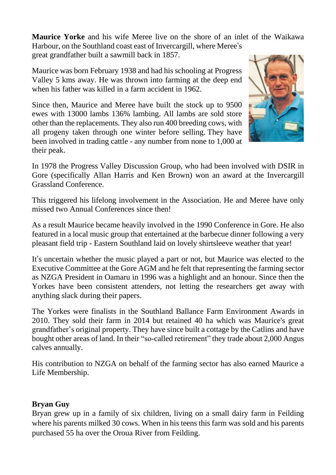**Maurice Yorke** and his wife Meree live on the shore of an inlet of the Waikawa Harbour, on the Southland coast east of Invercargill, where Meree's

great grandfather built a sawmill back in 1857.

Maurice was born February 1938 and had his schooling at Progress Valley 5 kms away. He was thrown into farming at the deep end when his father was killed in a farm accident in 1962.

Since then, Maurice and Meree have built the stock up to 9500 ewes with 13000 lambs 136% lambing. All lambs are sold store other than the replacements. They also run 400 breeding cows, with all progeny taken through one winter before selling. They have been involved in trading cattle - any number from none to 1,000 at their peak.



In 1978 the Progress Valley Discussion Group, who had been involved with DSIR in Gore (specifically Allan Harris and Ken Brown) won an award at the Invercargill Grassland Conference.

This triggered his lifelong involvement in the Association. He and Meree have only missed two Annual Conferences since then!

As a result Maurice became heavily involved in the 1990 Conference in Gore. He also featured in a local music group that entertained at the barbecue dinner following a very pleasant field trip - Eastern Southland laid on lovely shirtsleeve weather that year!

It's uncertain whether the music played a part or not, but Maurice was elected to the Executive Committee at the Gore AGM and he felt that representing the farming sector as NZGA President in Oamaru in 1996 was a highlight and an honour. Since then the Yorkes have been consistent attenders, not letting the researchers get away with anything slack during their papers.

The Yorkes were finalists in the Southland Ballance Farm Environment Awards in 2010. They sold their farm in 2014 but retained 40 ha which was Maurice's great grandfather's original property. They have since built a cottage by the Catlins and have bought other areas of land. In their "so-called retirement" they trade about 2,000 Angus calves annually.

His contribution to NZGA on behalf of the farming sector has also earned Maurice a Life Membership.

# **Bryan Guy**

Bryan grew up in a family of six children, living on a small dairy farm in Feilding where his parents milked 30 cows. When in his teens this farm was sold and his parents purchased 55 ha over the Oroua River from Feilding.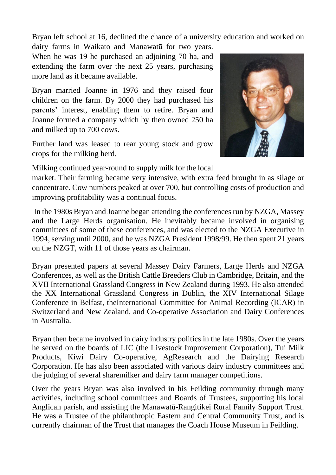Bryan left school at 16, declined the chance of a university education and worked on dairy farms in Waikato and Manawatū for two years.

When he was 19 he purchased an adjoining 70 ha, and extending the farm over the next 25 years, purchasing more land as it became available.

Bryan married Joanne in 1976 and they raised four children on the farm. By 2000 they had purchased his parents' interest, enabling them to retire. Bryan and Joanne formed a company which by then owned 250 ha and milked up to 700 cows.

Further land was leased to rear young stock and grow crops for the milking herd.

Milking continued year-round to supply milk for the local

market. Their farming became very intensive, with extra feed brought in as silage or concentrate. Cow numbers peaked at over 700, but controlling costs of production and improving profitability was a continual focus.

In the 1980s Bryan and Joanne began attending the conferences run by NZGA, Massey and the Large Herds organisation. He inevitably became involved in organising committees of some of these conferences, and was elected to the NZGA Executive in 1994, serving until 2000, and he was NZGA President 1998/99. He then spent 21 years on the NZGT, with 11 of those years as chairman.

Bryan presented papers at several Massey Dairy Farmers, Large Herds and NZGA Conferences, as well as the British Cattle Breeders Club in Cambridge, Britain, and the XVII International Grassland Congress in New Zealand during 1993. He also attended the XX International Grassland Congress in Dublin, the XIV International Silage Conference in Belfast, theInternational Committee for Animal Recording (ICAR) in Switzerland and New Zealand, and Co-operative Association and Dairy Conferences in Australia.

Bryan then became involved in dairy industry politics in the late 1980s. Over the years he served on the boards of LIC (the Livestock Improvement Corporation), Tui Milk Products, Kiwi Dairy Co-operative, AgResearch and the Dairying Research Corporation. He has also been associated with various dairy industry committees and the judging of several sharemilker and dairy farm manager competitions.

Over the years Bryan was also involved in his Feilding community through many activities, including school committees and Boards of Trustees, supporting his local Anglican parish, and assisting the Manawatū-Rangitikei Rural Family Support Trust. He was a Trustee of the philanthropic Eastern and Central Community Trust, and is currently chairman of the Trust that manages the Coach House Museum in Feilding.

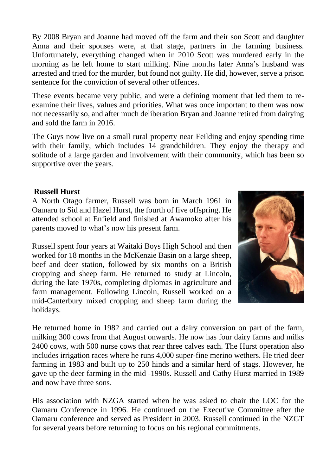By 2008 Bryan and Joanne had moved off the farm and their son Scott and daughter Anna and their spouses were, at that stage, partners in the farming business. Unfortunately, everything changed when in 2010 Scott was murdered early in the morning as he left home to start milking. Nine months later Anna's husband was arrested and tried for the murder, but found not guilty. He did, however, serve a prison sentence for the conviction of several other offences.

These events became very public, and were a defining moment that led them to reexamine their lives, values and priorities. What was once important to them was now not necessarily so, and after much deliberation Bryan and Joanne retired from dairying and sold the farm in 2016.

The Guys now live on a small rural property near Feilding and enjoy spending time with their family, which includes 14 grandchildren. They enjoy the therapy and solitude of a large garden and involvement with their community, which has been so supportive over the years.

### **Russell Hurst**

A North Otago farmer, Russell was born in March 1961 in Oamaru to Sid and Hazel Hurst, the fourth of five offspring. He attended school at Enfield and finished at Awamoko after his parents moved to what's now his present farm.

Russell spent four years at Waitaki Boys High School and then worked for 18 months in the McKenzie Basin on a large sheep, beef and deer station, followed by six months on a British cropping and sheep farm. He returned to study at Lincoln, during the late 1970s, completing diplomas in agriculture and farm management. Following Lincoln, Russell worked on a mid-Canterbury mixed cropping and sheep farm during the holidays.



He returned home in 1982 and carried out a dairy conversion on part of the farm, milking 300 cows from that August onwards. He now has four dairy farms and milks 2400 cows, with 500 nurse cows that rear three calves each. The Hurst operation also includes irrigation races where he runs 4,000 super-fine merino wethers. He tried deer farming in 1983 and built up to 250 hinds and a similar herd of stags. However, he gave up the deer farming in the mid -1990s. Russell and Cathy Hurst married in 1989 and now have three sons.

His association with NZGA started when he was asked to chair the LOC for the Oamaru Conference in 1996. He continued on the Executive Committee after the Oamaru conference and served as President in 2003. Russell continued in the NZGT for several years before returning to focus on his regional commitments.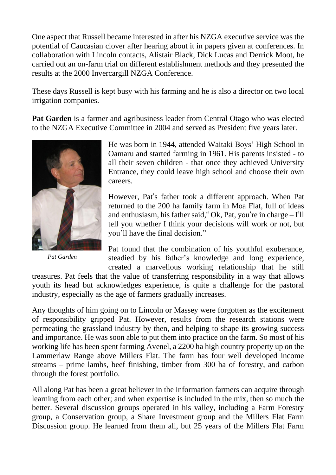One aspect that Russell became interested in after his NZGA executive service was the potential of Caucasian clover after hearing about it in papers given at conferences. In collaboration with Lincoln contacts, Alistair Black, Dick Lucas and Derrick Moot, he carried out an on-farm trial on different establishment methods and they presented the results at the 2000 Invercargill NZGA Conference.

These days Russell is kept busy with his farming and he is also a director on two local irrigation companies.

**Pat Garden** is a farmer and agribusiness leader from Central Otago who was elected to the NZGA Executive Committee in 2004 and served as President five years later.



*Pat Garden*

He was born in 1944, attended Waitaki Boys' High School in Oamaru and started farming in 1961. His parents insisted - to all their seven children - that once they achieved University Entrance, they could leave high school and choose their own careers.

However, Pat's father took a different approach. When Pat returned to the 200 ha family farm in Moa Flat, full of ideas and enthusiasm, his father said," Ok, Pat, you're in charge – I'll tell you whether I think your decisions will work or not, but you'll have the final decision."

Pat found that the combination of his youthful exuberance, steadied by his father's knowledge and long experience, created a marvellous working relationship that he still

treasures. Pat feels that the value of transferring responsibility in a way that allows youth its head but acknowledges experience, is quite a challenge for the pastoral industry, especially as the age of farmers gradually increases.

Any thoughts of him going on to Lincoln or Massey were forgotten as the excitement of responsibility gripped Pat. However, results from the research stations were permeating the grassland industry by then, and helping to shape its growing success and importance. He was soon able to put them into practice on the farm. So most of his working life has been spent farming Avenel, a 2200 ha high country property up on the Lammerlaw Range above Millers Flat. The farm has four well developed income streams – prime lambs, beef finishing, timber from 300 ha of forestry, and carbon through the forest portfolio.

All along Pat has been a great believer in the information farmers can acquire through learning from each other; and when expertise is included in the mix, then so much the better. Several discussion groups operated in his valley, including a Farm Forestry group, a Conservation group, a Share Investment group and the Millers Flat Farm Discussion group. He learned from them all, but 25 years of the Millers Flat Farm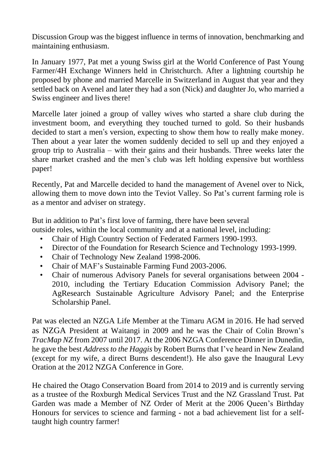Discussion Group was the biggest influence in terms of innovation, benchmarking and maintaining enthusiasm.

In January 1977, Pat met a young Swiss girl at the World Conference of Past Young Farmer/4H Exchange Winners held in Christchurch. After a lightning courtship he proposed by phone and married Marcelle in Switzerland in August that year and they settled back on Avenel and later they had a son (Nick) and daughter Jo, who married a Swiss engineer and lives there!

Marcelle later joined a group of valley wives who started a share club during the investment boom, and everything they touched turned to gold. So their husbands decided to start a men's version, expecting to show them how to really make money. Then about a year later the women suddenly decided to sell up and they enjoyed a group trip to Australia – with their gains and their husbands. Three weeks later the share market crashed and the men's club was left holding expensive but worthless paper!

Recently, Pat and Marcelle decided to hand the management of Avenel over to Nick, allowing them to move down into the Teviot Valley. So Pat's current farming role is as a mentor and adviser on strategy.

But in addition to Pat's first love of farming, there have been several

outside roles, within the local community and at a national level, including:

- Chair of High Country Section of Federated Farmers 1990-1993.
- Director of the Foundation for Research Science and Technology 1993-1999.
- Chair of Technology New Zealand 1998-2006.
- Chair of MAF's Sustainable Farming Fund 2003-2006.
- Chair of numerous Advisory Panels for several organisations between 2004 2010, including the Tertiary Education Commission Advisory Panel; the AgResearch Sustainable Agriculture Advisory Panel; and the Enterprise Scholarship Panel.

Pat was elected an NZGA Life Member at the Timaru AGM in 2016. He had served as NZGA President at Waitangi in 2009 and he was the Chair of Colin Brown's *TracMap NZ* from 2007 until 2017. At the 2006 NZGA Conference Dinner in Dunedin, he gave the best *Address to the Haggis* by Robert Burns that I've heard in New Zealand (except for my wife, a direct Burns descendent!). He also gave the Inaugural Levy Oration at the 2012 NZGA Conference in Gore.

He chaired the Otago Conservation Board from 2014 to 2019 and is currently serving as a trustee of the Roxburgh Medical Services Trust and the NZ Grassland Trust. Pat Garden was made a Member of NZ Order of Merit at the 2006 Queen's Birthday Honours for services to science and farming - not a bad achievement list for a selftaught high country farmer!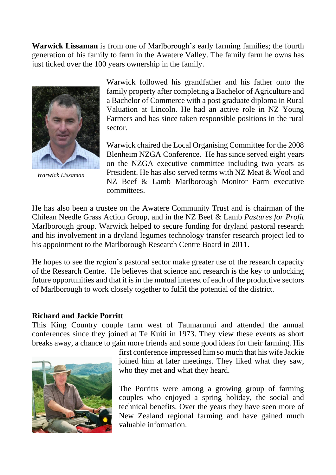**Warwick Lissaman** is from one of Marlborough's early farming families; the fourth generation of his family to farm in the Awatere Valley. The family farm he owns has just ticked over the 100 years ownership in the family.



*Warwick Lissaman*

Warwick followed his grandfather and his father onto the family property after completing a Bachelor of Agriculture and a Bachelor of Commerce with a post graduate diploma in Rural Valuation at Lincoln. He had an active role in NZ Young Farmers and has since taken responsible positions in the rural sector.

Warwick chaired the Local Organising Committee for the 2008 Blenheim NZGA Conference. He has since served eight years on the NZGA executive committee including two years as President. He has also served terms with NZ Meat & Wool and NZ Beef & Lamb Marlborough Monitor Farm executive committees.

He has also been a trustee on the Awatere Community Trust and is chairman of the Chilean Needle Grass Action Group, and in the NZ Beef & Lamb *Pastures for Profit* Marlborough group. Warwick helped to secure funding for dryland pastoral research and his involvement in a dryland legumes technology transfer research project led to his appointment to the Marlborough Research Centre Board in 2011.

He hopes to see the region's pastoral sector make greater use of the research capacity of the Research Centre. He believes that science and research is the key to unlocking future opportunities and that it is in the mutual interest of each of the productive sectors of Marlborough to work closely together to fulfil the potential of the district.

#### **Richard and Jackie Porritt**

This King Country couple farm west of Taumarunui and attended the annual conferences since they joined at Te Kuiti in 1973. They view these events as short breaks away, a chance to gain more friends and some good ideas for their farming. His



first conference impressed him so much that his wife Jackie joined him at later meetings. They liked what they saw, who they met and what they heard.

The Porritts were among a growing group of farming couples who enjoyed a spring holiday, the social and technical benefits. Over the years they have seen more of New Zealand regional farming and have gained much valuable information.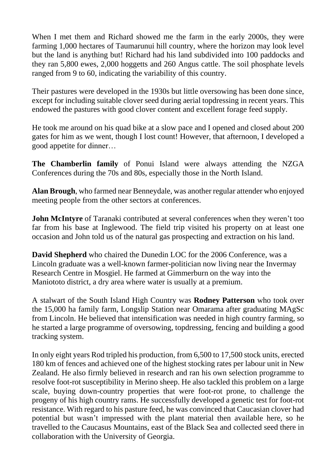When I met them and Richard showed me the farm in the early 2000s, they were farming 1,000 hectares of Taumarunui hill country, where the horizon may look level but the land is anything but! Richard had his land subdivided into 100 paddocks and they ran 5,800 ewes, 2,000 hoggetts and 260 Angus cattle. The soil phosphate levels ranged from 9 to 60, indicating the variability of this country.

Their pastures were developed in the 1930s but little oversowing has been done since, except for including suitable clover seed during aerial topdressing in recent years. This endowed the pastures with good clover content and excellent forage feed supply.

He took me around on his quad bike at a slow pace and I opened and closed about 200 gates for him as we went, though I lost count! However, that afternoon, I developed a good appetite for dinner…

**The Chamberlin family** of Ponui Island were always attending the NZGA Conferences during the 70s and 80s, especially those in the North Island.

**Alan Brough**, who farmed near Benneydale, was another regular attender who enjoyed meeting people from the other sectors at conferences.

**John McIntyre** of Taranaki contributed at several conferences when they weren't too far from his base at Inglewood. The field trip visited his property on at least one occasion and John told us of the natural gas prospecting and extraction on his land.

**David Shepherd** who chaired the Dunedin LOC for the 2006 Conference, was a Lincoln graduate was a well-known farmer-politician now living near the Invermay Research Centre in Mosgiel. He farmed at Gimmerburn on the way into the Maniototo district, a dry area where water is usually at a premium.

A stalwart of the South Island High Country was **Rodney Patterson** who took over the 15,000 ha family farm, Longslip Station near Omarama after graduating MAgSc from Lincoln. He believed that intensification was needed in high country farming, so he started a large programme of oversowing, topdressing, fencing and building a good tracking system.

In only eight years Rod tripled his production, from 6,500 to 17,500 stock units, erected 180 km of fences and achieved one of the highest stocking rates per labour unit in New Zealand. He also firmly believed in research and ran his own selection programme to resolve foot-rot susceptibility in Merino sheep. He also tackled this problem on a large scale, buying down-country properties that were foot-rot prone, to challenge the progeny of his high country rams. He successfully developed a genetic test for foot-rot resistance. With regard to his pasture feed, he was convinced that Caucasian clover had potential but wasn't impressed with the plant material then available here, so he travelled to the Caucasus Mountains, east of the Black Sea and collected seed there in collaboration with the University of Georgia.